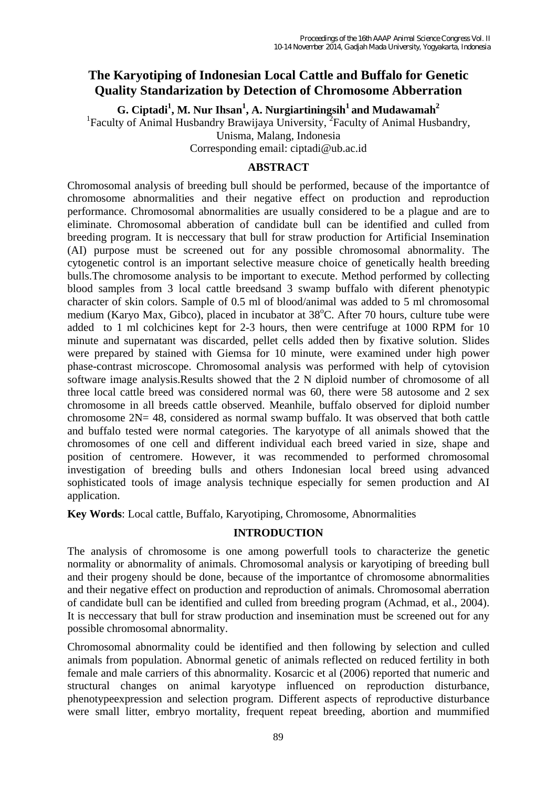# **The Karyotiping of Indonesian Local Cattle and Buffalo for Genetic Quality Standarization by Detection of Chromosome Abberration**

 $G$ . Ciptadi<sup>1</sup>, M. Nur Ihsan<sup>1</sup>, A. Nurgiartiningsih<sup>1</sup> and Mudawamah<sup>2</sup>

<sup>1</sup>Faculty of Animal Husbandry Brawijaya University, <sup>2</sup>Faculty of Animal Husbandry,

Unisma, Malang, Indonesia

Corresponding email: ciptadi@ub.ac.id

#### **ABSTRACT**

Chromosomal analysis of breeding bull should be performed, because of the importantce of chromosome abnormalities and their negative effect on production and reproduction performance. Chromosomal abnormalities are usually considered to be a plague and are to eliminate. Chromosomal abberation of candidate bull can be identified and culled from breeding program. It is neccessary that bull for straw production for Artificial Insemination (AI) purpose must be screened out for any possible chromosomal abnormality. The cytogenetic control is an important selective measure choice of genetically health breeding bulls.The chromosome analysis to be important to execute. Method performed by collecting blood samples from 3 local cattle breedsand 3 swamp buffalo with diferent phenotypic character of skin colors. Sample of 0.5 ml of blood/animal was added to 5 ml chromosomal medium (Karyo Max, Gibco), placed in incubator at 38°C. After 70 hours, culture tube were added to 1 ml colchicines kept for 2-3 hours, then were centrifuge at 1000 RPM for 10 minute and supernatant was discarded, pellet cells added then by fixative solution. Slides were prepared by stained with Giemsa for 10 minute, were examined under high power phase-contrast microscope. Chromosomal analysis was performed with help of cytovision software image analysis.Results showed that the 2 N diploid number of chromosome of all three local cattle breed was considered normal was 60, there were 58 autosome and 2 sex chromosome in all breeds cattle observed. Meanhile, buffalo observed for diploid number chromosome  $2N = 48$ , considered as normal swamp buffalo. It was observed that both cattle and buffalo tested were normal categories. The karyotype of all animals showed that the chromosomes of one cell and different individual each breed varied in size, shape and position of centromere. However, it was recommended to performed chromosomal investigation of breeding bulls and others Indonesian local breed using advanced sophisticated tools of image analysis technique especially for semen production and AI application.

**Key Words**: Local cattle, Buffalo, Karyotiping, Chromosome, Abnormalities

## **INTRODUCTION**

The analysis of chromosome is one among powerfull tools to characterize the genetic normality or abnormality of animals. Chromosomal analysis or karyotiping of breeding bull and their progeny should be done, because of the importantce of chromosome abnormalities and their negative effect on production and reproduction of animals. Chromosomal aberration of candidate bull can be identified and culled from breeding program (Achmad, et al., 2004). It is neccessary that bull for straw production and insemination must be screened out for any possible chromosomal abnormality.

Chromosomal abnormality could be identified and then following by selection and culled animals from population. Abnormal genetic of animals reflected on reduced fertility in both female and male carriers of this abnormality. Kosarcic et al (2006) reported that numeric and structural changes on animal karyotype influenced on reproduction disturbance, phenotypeexpression and selection program. Different aspects of reproductive disturbance were small litter, embryo mortality, frequent repeat breeding, abortion and mummified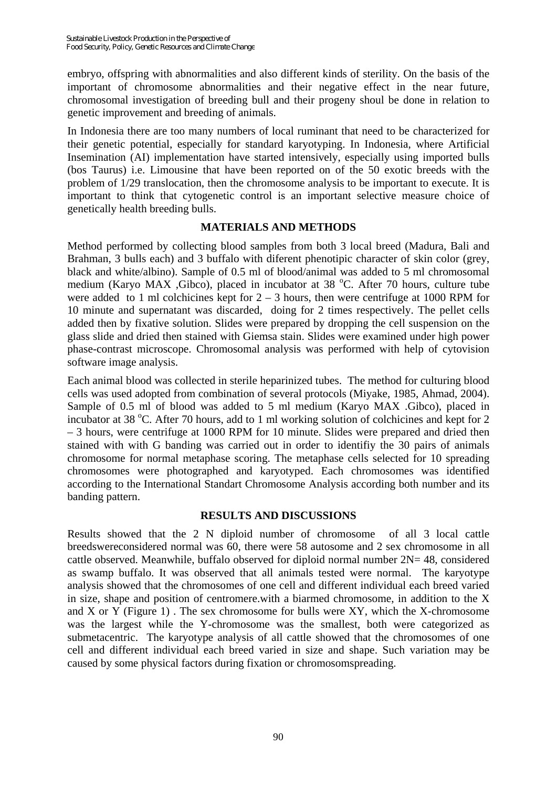embryo, offspring with abnormalities and also different kinds of sterility. On the basis of the important of chromosome abnormalities and their negative effect in the near future, chromosomal investigation of breeding bull and their progeny shoul be done in relation to genetic improvement and breeding of animals.

In Indonesia there are too many numbers of local ruminant that need to be characterized for their genetic potential, especially for standard karyotyping. In Indonesia, where Artificial Insemination (AI) implementation have started intensively, especially using imported bulls (bos Taurus) i.e. Limousine that have been reported on of the 50 exotic breeds with the problem of 1/29 translocation, then the chromosome analysis to be important to execute. It is important to think that cytogenetic control is an important selective measure choice of genetically health breeding bulls.

## **MATERIALS AND METHODS**

Method performed by collecting blood samples from both 3 local breed (Madura, Bali and Brahman, 3 bulls each) and 3 buffalo with diferent phenotipic character of skin color (grey, black and white/albino). Sample of 0.5 ml of blood/animal was added to 5 ml chromosomal medium (Karyo MAX ,Gibco), placed in incubator at 38 °C. After 70 hours, culture tube were added to 1 ml colchicines kept for  $2 - 3$  hours, then were centrifuge at 1000 RPM for 10 minute and supernatant was discarded, doing for 2 times respectively. The pellet cells added then by fixative solution. Slides were prepared by dropping the cell suspension on the glass slide and dried then stained with Giemsa stain. Slides were examined under high power phase-contrast microscope. Chromosomal analysis was performed with help of cytovision software image analysis.

Each animal blood was collected in sterile heparinized tubes. The method for culturing blood cells was used adopted from combination of several protocols (Miyake, 1985, Ahmad, 2004). Sample of 0.5 ml of blood was added to 5 ml medium (Karyo MAX .Gibco), placed in incubator at 38 °C. After 70 hours, add to 1 ml working solution of colchicines and kept for 2 – 3 hours, were centrifuge at 1000 RPM for 10 minute. Slides were prepared and dried then stained with with G banding was carried out in order to identifiy the 30 pairs of animals chromosome for normal metaphase scoring. The metaphase cells selected for 10 spreading chromosomes were photographed and karyotyped. Each chromosomes was identified according to the International Standart Chromosome Analysis according both number and its banding pattern.

## **RESULTS AND DISCUSSIONS**

Results showed that the 2 N diploid number of chromosome of all 3 local cattle breedswereconsidered normal was 60, there were 58 autosome and 2 sex chromosome in all cattle observed. Meanwhile, buffalo observed for diploid normal number  $2N = 48$ , considered as swamp buffalo. It was observed that all animals tested were normal. The karyotype analysis showed that the chromosomes of one cell and different individual each breed varied in size, shape and position of centromere.with a biarmed chromosome, in addition to the X and  $X$  or  $Y$  (Figure 1). The sex chromosome for bulls were  $XY$ , which the X-chromosome was the largest while the Y-chromosome was the smallest, both were categorized as submetacentric. The karyotype analysis of all cattle showed that the chromosomes of one cell and different individual each breed varied in size and shape. Such variation may be caused by some physical factors during fixation or chromosomspreading.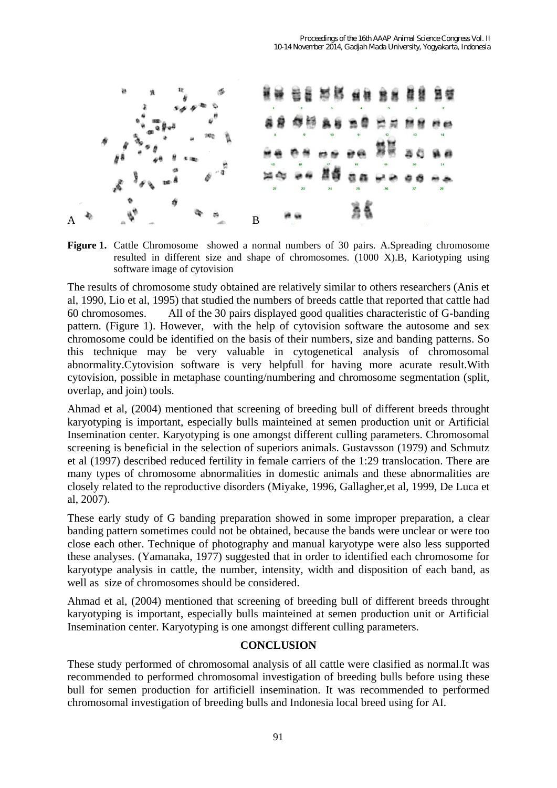

Figure 1. Cattle Chromosome showed a normal numbers of 30 pairs. A.Spreading chromosome resulted in different size and shape of chromosomes. (1000 X).B, Kariotyping using software image of cytovision

The results of chromosome study obtained are relatively similar to others researchers (Anis et al, 1990, Lio et al, 1995) that studied the numbers of breeds cattle that reported that cattle had 60 chromosomes. All of the 30 pairs displayed good qualities characteristic of G-banding pattern. (Figure 1). However, with the help of cytovision software the autosome and sex chromosome could be identified on the basis of their numbers, size and banding patterns. So this technique may be very valuable in cytogenetical analysis of chromosomal abnormality.Cytovision software is very helpfull for having more acurate result.With cytovision, possible in metaphase counting/numbering and chromosome segmentation (split, overlap, and join) tools.

Ahmad et al, (2004) mentioned that screening of breeding bull of different breeds throught karyotyping is important, especially bulls mainteined at semen production unit or Artificial Insemination center. Karyotyping is one amongst different culling parameters. Chromosomal screening is beneficial in the selection of superiors animals. Gustavsson (1979) and Schmutz et al (1997) described reduced fertility in female carriers of the 1:29 translocation. There are many types of chromosome abnormalities in domestic animals and these abnormalities are closely related to the reproductive disorders (Miyake, 1996, Gallagher,et al, 1999, De Luca et al, 2007).

These early study of G banding preparation showed in some improper preparation, a clear banding pattern sometimes could not be obtained, because the bands were unclear or were too close each other. Technique of photography and manual karyotype were also less supported these analyses. (Yamanaka, 1977) suggested that in order to identified each chromosome for karyotype analysis in cattle, the number, intensity, width and disposition of each band, as well as size of chromosomes should be considered.

Ahmad et al, (2004) mentioned that screening of breeding bull of different breeds throught karyotyping is important, especially bulls mainteined at semen production unit or Artificial Insemination center. Karyotyping is one amongst different culling parameters.

## **CONCLUSION**

These study performed of chromosomal analysis of all cattle were clasified as normal.It was recommended to performed chromosomal investigation of breeding bulls before using these bull for semen production for artificiell insemination. It was recommended to performed chromosomal investigation of breeding bulls and Indonesia local breed using for AI.